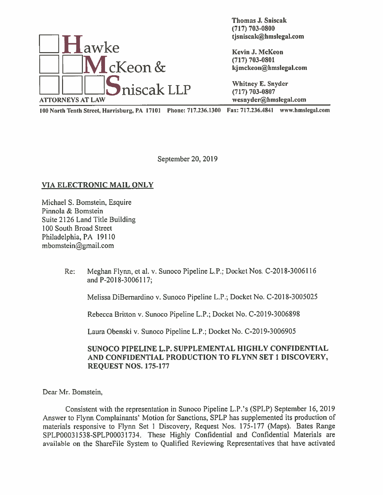

Thomas J. Sniscak (717) 703-0800

<sup>100</sup> North Tenth Street, Harrisburg, PA 17101 Phone: 717.236.1300 Fax: 717.236.4841 www.hmsIegal.com

September 20, 2019

## VIA ELECTRONIC MAIL ONLY

Michael S. Bomstein, Esquire Pinnola & Bomstein Suite 2126 Land Title Building 100 South Broad Street Philadelphia, PA 19110 mbomstein@gmail.com

> Re: Meghan Flynn, et al. v. Sunoco Pipeline L.P.; Docket Nos, C-2018-3006116 and P-2018-30061 17;

Melissa DiBernardino v. Sunoco Pipeline L.P.; Docket No. C-2018-3005025

Rebecca Britton v. Sunoco Pipeline L.P.; Docket No. C-2019-3006898

Laura Obenski v. Sunoco Pipeline L.P.; Docket No. C-2019-3006905

## SUNOCO PIPELINE L.P. SUPPLEMENTAL HIGHLY CONFIDENTIAL AND CONFIDENTIAL PRODUCTION TO FLYNN SET 1 DISCOVERY, REQUEST NOS. 175-177

Dear Mr. Bomstein.

Consistent with the representation in Sunoco Pipeline L.P.'s (SPLP) September 16, 2019 Answer to Flynn Complainants' Motion for Sanctions, SPLP has supplemented its production of materials responsive to Flynn Set <sup>I</sup> Discovery. Request Nos. 175-177 (Maps). Bates Range SPLP0003153S-SPLP00031734. These Highly Confidential and Confidential Materials are available on the ShareFile System to Qualified Reviewing Representatives that have activated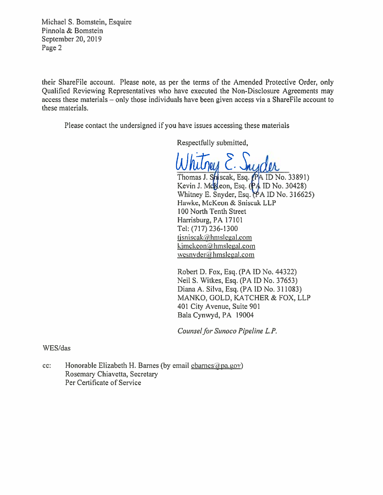Michael S. Bomstein, Esquire Pinnola & Bomstein September 20, 2019 Page 2

their ShareFile account. Please note, as per the terms of the Amended Protective Order, only Qualified Reviewing Representatives who have executed the Non-Disclosure Agreements may access these materials — only those individuals have been given access via <sup>a</sup> ShareFile account to these materials.

Please contact the undersigned if you have issues accessing these materials

Respectfully submitted,

Thomas J. Shiscak, Esq. (PA ID No. 33891)<br>Kevin J. McKeon, Esq. (PA ID No. 30428) Whitney E. Snyder, Esq.  $(PA ID No. 316625)$ Hawke, McKeon & Sniscak LLP 100 North Tenth Street Harrisburg, PA 17101 Tel: (717) 236-1300 tjsniscak $@$ hmslegal.com kjmckeon@hmslegal.com wesnyder@hmslegal.com

Robert D. Fox, Esq. (PA ID No. 44322) Neil S. Witkes, Esq. (PA ID No. 37653) Diana A. Silva, Esq. (PAID No. 311083) MANKO, GOLD, KATCHER & FOX, LLP 401 City Avenue, Suite 901 Bala Cynwyd, PA 19004

Counsel for Sunoco Pipeline L.P.

WES/das

cc: Honorable Elizabeth H. Barnes (by email charnes appa.gov) Rosemary Chiavetta, Secretary Per Certificate of Service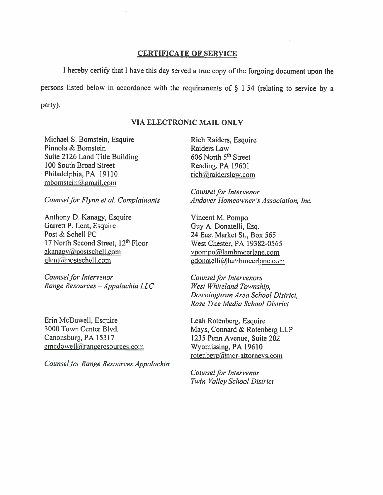## CERTIFICATE OF SERVICE

I hereby certify that I have this day served a true copy of the forgoing document upon the persons listed below in accordance with the requirements of  $\S$  1.54 (relating to service by a party).

## VIA ELECTRO NIC MAIL ONLY

Michael S. Bomstein, Esquire Pinnola & Bomstein Suite 2126 Land Title Building 100 South Broad Street Philadelphia, PA 19110  $m$ bomstein $\alpha$ gmail.com

Counsel for Flynn et al. Complainants

Anthony D. Kanagy, Esquire Garrett P. Lent, Esquire Post & Schell PC 17 North Second Street, 12<sup>th</sup> Floor  $akanay$ @postschell.com  $g$ lent@postschell.com

Counsel for Intervenor Range Resources — Appalachia LLC

Erin McDowell, Esquire 3000 Town Center Blvd. Canonsburg, PA 15317 emcdowell@rangeresources.com

Counsel for Range Resources Appalachia

Rich Raiders, Esquire Raiders Law 606 North 5<sup>th</sup> Street Reading, PA 19601 rich@raiderslaw.com

Counsel for Intervenor Andover Homeowner 's Association, Inc.

Vincent M. Pompo Guy A. Donatelli, Esq. 24 East Market St., Box 565 West Chester, PA 19382-0565 vpompo@lambmcerlane.com gdonatelli@lambmcerlane.com

Counsel for Intervenors West Whiteland Township, Downingtown Area School District, Rose Tree Media School District

Leah Rotenberg, Esquire Mays, Connard & Rotenberg LLP 1235 Penn Avenue, Suite 202 Wyomissing, PA 19610 rotenberg@mcr-attorneys.com

Counsel for Intervenor Twin Valley School District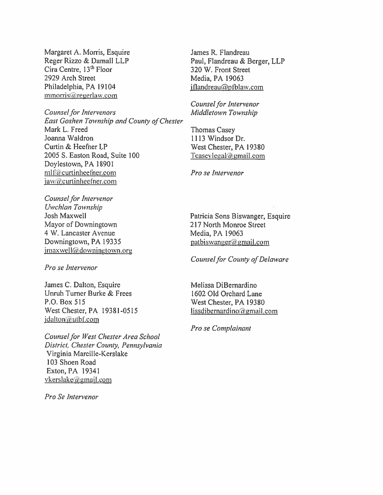Margaret A. Morris, Esquire Reger Rizzo & Darnall LLP Cira Centre, 13<sup>th</sup> Floor 2929 Arch Street Philadelphia, PA 19104 mmorris@regerlaw.com

**Counsel for Intervenors** East Goshen Township and County of Chester Mark L. Freed Joanna Waldron Curtin & Heefner LP 2005 S. Easton Road, Suite 100 Doylestown, PA 18901 mlf@curtinheefner.com jaw@eurtinheefner.com

Counsel for Intervenor Uwchlan Township **Josh Maxwell** Mayor of Downingtown 4 W. Lancaster Avenue Downingtown, PA 19335  $jmaxwell$ *a*downingtown.org

Pro se Intervenor

James C. Dalton, Esquire Unruh Turner Burke & Frees P.O. Box 515 West Chester, PA 19381-0515 jdalton@utbf.com

Counsel for West Chester Area School District, Chester County, Pennsylvania Virginia Marcille-Kerslake 103 Shoen Road Exton, PA 19341 vkerslake@gmail.com

Pro Se Intervenor

James R. Flandreau Paul, Flandreau & Berger, LLP 320 W. Front Street Media, PA 19063 iflandreau@pfblaw.com

Counsel for Intervenor Middletown Township

**Thomas Casey** 1113 Windsor Dr. West Chester, PA 19380  $Tcaseylegal@gmail.com$ 

Pro se Intervenor

Patricia Sons Biswanger, Esquire 217 North Monroe Street Media, PA 19063  $patbiswanger@gmail.com$ 

**Counsel for County of Delaware** 

Melissa DiBernardino 1602 Old Orchard Lane West Chester, PA 19380 lissdibernardino@gmail.com

Pro se Complainant